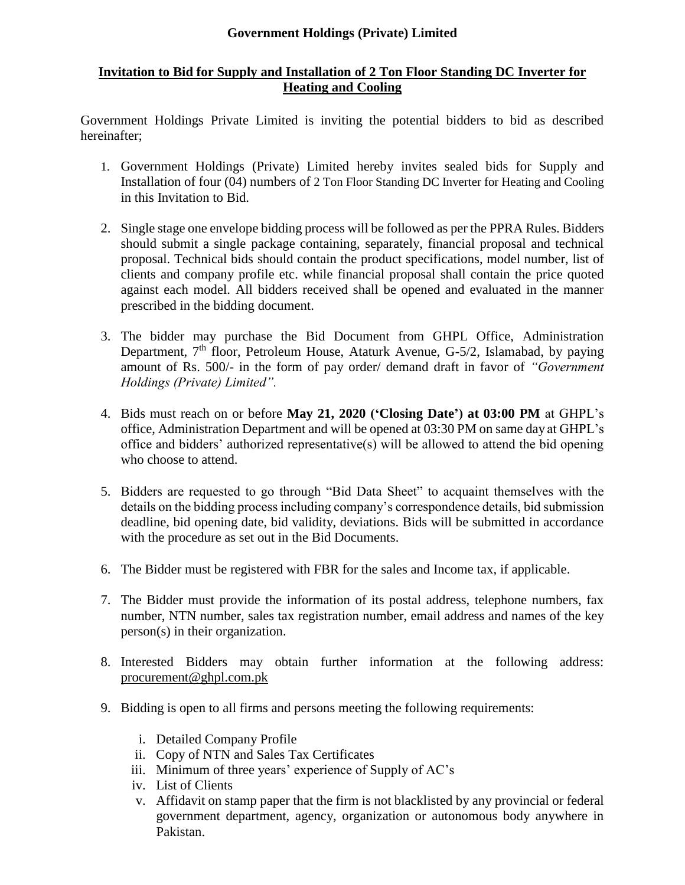## **Government Holdings (Private) Limited**

## **Invitation to Bid for Supply and Installation of 2 Ton Floor Standing DC Inverter for Heating and Cooling**

Government Holdings Private Limited is inviting the potential bidders to bid as described hereinafter;

- 1. Government Holdings (Private) Limited hereby invites sealed bids for Supply and Installation of four (04) numbers of 2 Ton Floor Standing DC Inverter for Heating and Cooling in this Invitation to Bid.
- 2. Single stage one envelope bidding process will be followed as per the PPRA Rules. Bidders should submit a single package containing, separately, financial proposal and technical proposal. Technical bids should contain the product specifications, model number, list of clients and company profile etc. while financial proposal shall contain the price quoted against each model. All bidders received shall be opened and evaluated in the manner prescribed in the bidding document.
- 3. The bidder may purchase the Bid Document from GHPL Office, Administration Department, 7<sup>th</sup> floor, Petroleum House, Ataturk Avenue, G-5/2, Islamabad, by paying amount of Rs. 500/- in the form of pay order/ demand draft in favor of *"Government Holdings (Private) Limited".*
- 4. Bids must reach on or before **May 21, 2020 ('Closing Date') at 03:00 PM** at GHPL's office, Administration Department and will be opened at 03:30 PM on same day at GHPL's office and bidders' authorized representative(s) will be allowed to attend the bid opening who choose to attend.
- 5. Bidders are requested to go through "Bid Data Sheet" to acquaint themselves with the details on the bidding process including company's correspondence details, bid submission deadline, bid opening date, bid validity, deviations. Bids will be submitted in accordance with the procedure as set out in the Bid Documents.
- 6. The Bidder must be registered with FBR for the sales and Income tax, if applicable.
- 7. The Bidder must provide the information of its postal address, telephone numbers, fax number, NTN number, sales tax registration number, email address and names of the key person(s) in their organization.
- 8. Interested Bidders may obtain further information at the following address: [procurement@ghpl.com.pk](mailto:procurement@ghpl.com.pk)
- 9. Bidding is open to all firms and persons meeting the following requirements:
	- i. Detailed Company Profile
	- ii. Copy of NTN and Sales Tax Certificates
	- iii. Minimum of three years' experience of Supply of AC's
	- iv. List of Clients
	- v. Affidavit on stamp paper that the firm is not blacklisted by any provincial or federal government department, agency, organization or autonomous body anywhere in Pakistan.